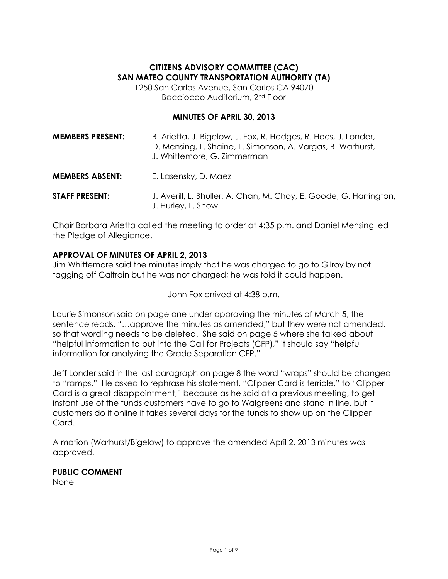## **CITIZENS ADVISORY COMMITTEE (CAC) SAN MATEO COUNTY TRANSPORTATION AUTHORITY (TA)**

1250 San Carlos Avenue, San Carlos CA 94070 Bacciocco Auditorium, 2nd Floor

#### **MINUTES OF APRIL 30, 2013**

| <b>MEMBERS PRESENT:</b> | B. Arietta, J. Bigelow, J. Fox, R. Hedges, R. Hees, J. Londer,<br>D. Mensing, L. Shaine, L. Simonson, A. Vargas, B. Warhurst,<br>J. Whittemore, G. Zimmerman |
|-------------------------|--------------------------------------------------------------------------------------------------------------------------------------------------------------|
| <b>MEMBERS ABSENT:</b>  | E. Lasensky, D. Maez                                                                                                                                         |
| <b>STAFF PRESENT:</b>   | J. Averill, L. Bhuller, A. Chan, M. Choy, E. Goode, G. Harrington,<br>J. Hurley, L. Snow                                                                     |

Chair Barbara Arietta called the meeting to order at 4:35 p.m. and Daniel Mensing led the Pledge of Allegiance.

#### **APPROVAL OF MINUTES OF APRIL 2, 2013**

Jim Whittemore said the minutes imply that he was charged to go to Gilroy by not tagging off Caltrain but he was not charged; he was told it could happen.

John Fox arrived at 4:38 p.m.

Laurie Simonson said on page one under approving the minutes of March 5, the sentence reads, "…approve the minutes as amended," but they were not amended, so that wording needs to be deleted. She said on page 5 where she talked about "helpful information to put into the Call for Projects (CFP)," it should say "helpful information for analyzing the Grade Separation CFP."

Jeff Londer said in the last paragraph on page 8 the word "wraps" should be changed to "ramps." He asked to rephrase his statement, "Clipper Card is terrible," to "Clipper Card is a great disappointment," because as he said at a previous meeting, to get instant use of the funds customers have to go to Walgreens and stand in line, but if customers do it online it takes several days for the funds to show up on the Clipper Card.

A motion (Warhurst/Bigelow) to approve the amended April 2, 2013 minutes was approved.

**PUBLIC COMMENT**

None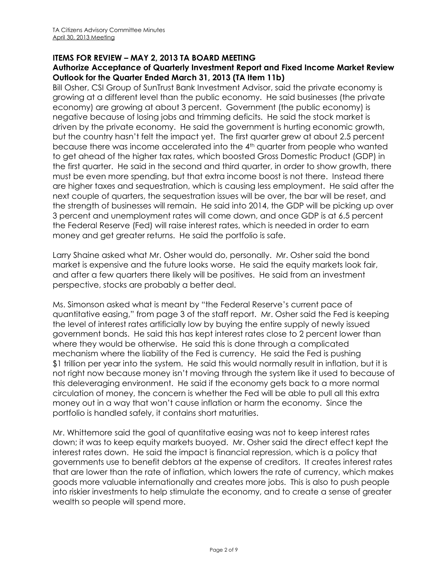### **ITEMS FOR REVIEW – MAY 2, 2013 TA BOARD MEETING**

#### **Authorize Acceptance of Quarterly Investment Report and Fixed Income Market Review Outlook for the Quarter Ended March 31, 2013 (TA Item 11b)**

Bill Osher, CSI Group of SunTrust Bank Investment Advisor, said the private economy is growing at a different level than the public economy. He said businesses (the private economy) are growing at about 3 percent. Government (the public economy) is negative because of losing jobs and trimming deficits. He said the stock market is driven by the private economy. He said the government is hurting economic growth, but the country hasn't felt the impact yet. The first quarter grew at about 2.5 percent because there was income accelerated into the 4<sup>th</sup> quarter from people who wanted to get ahead of the higher tax rates, which boosted Gross Domestic Product (GDP) in the first quarter. He said in the second and third quarter, in order to show growth, there must be even more spending, but that extra income boost is not there. Instead there are higher taxes and sequestration, which is causing less employment. He said after the next couple of quarters, the sequestration issues will be over, the bar will be reset, and the strength of businesses will remain. He said into 2014, the GDP will be picking up over 3 percent and unemployment rates will come down, and once GDP is at 6.5 percent the Federal Reserve (Fed) will raise interest rates, which is needed in order to earn money and get greater returns. He said the portfolio is safe.

Larry Shaine asked what Mr. Osher would do, personally. Mr. Osher said the bond market is expensive and the future looks worse. He said the equity markets look fair, and after a few quarters there likely will be positives. He said from an investment perspective, stocks are probably a better deal.

Ms. Simonson asked what is meant by "the Federal Reserve's current pace of quantitative easing," from page 3 of the staff report. Mr. Osher said the Fed is keeping the level of interest rates artificially low by buying the entire supply of newly issued government bonds. He said this has kept interest rates close to 2 percent lower than where they would be otherwise. He said this is done through a complicated mechanism where the liability of the Fed is currency. He said the Fed is pushing \$1 trillion per year into the system. He said this would normally result in inflation, but it is not right now because money isn't moving through the system like it used to because of this deleveraging environment. He said if the economy gets back to a more normal circulation of money, the concern is whether the Fed will be able to pull all this extra money out in a way that won't cause inflation or harm the economy. Since the portfolio is handled safely, it contains short maturities.

Mr. Whittemore said the goal of quantitative easing was not to keep interest rates down; it was to keep equity markets buoyed. Mr. Osher said the direct effect kept the interest rates down. He said the impact is financial repression, which is a policy that governments use to benefit debtors at the expense of creditors. It creates interest rates that are lower than the rate of inflation, which lowers the rate of currency, which makes goods more valuable internationally and creates more jobs. This is also to push people into riskier investments to help stimulate the economy, and to create a sense of greater wealth so people will spend more.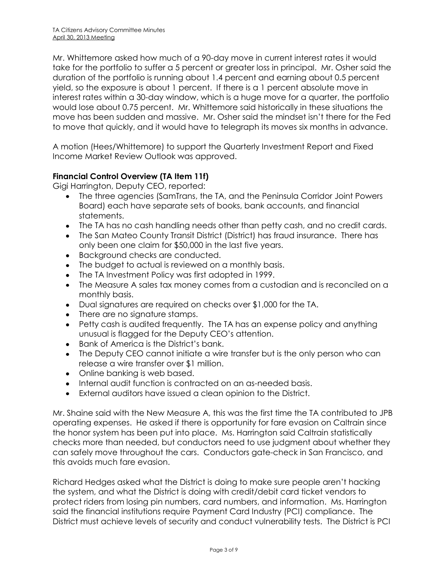Mr. Whittemore asked how much of a 90-day move in current interest rates it would take for the portfolio to suffer a 5 percent or greater loss in principal. Mr. Osher said the duration of the portfolio is running about 1.4 percent and earning about 0.5 percent yield, so the exposure is about 1 percent. If there is a 1 percent absolute move in interest rates within a 30-day window, which is a huge move for a quarter, the portfolio would lose about 0.75 percent. Mr. Whittemore said historically in these situations the move has been sudden and massive. Mr. Osher said the mindset isn't there for the Fed to move that quickly, and it would have to telegraph its moves six months in advance.

A motion (Hees/Whittemore) to support the Quarterly Investment Report and Fixed Income Market Review Outlook was approved.

### **Financial Control Overview (TA Item 11f)**

Gigi Harrington, Deputy CEO, reported:

- The three agencies (SamTrans, the TA, and the Peninsula Corridor Joint Powers Board) each have separate sets of books, bank accounts, and financial statements.
- The TA has no cash handling needs other than petty cash, and no credit cards.
- The San Mateo County Transit District (District) has fraud insurance. There has only been one claim for \$50,000 in the last five years.
- Background checks are conducted.
- The budget to actual is reviewed on a monthly basis.
- The TA Investment Policy was first adopted in 1999.
- The Measure A sales tax money comes from a custodian and is reconciled on a monthly basis.
- Dual signatures are required on checks over \$1,000 for the TA.
- There are no signature stamps.
- Petty cash is audited frequently. The TA has an expense policy and anything unusual is flagged for the Deputy CEO's attention.
- Bank of America is the District's bank.
- The Deputy CEO cannot initiate a wire transfer but is the only person who can release a wire transfer over \$1 million.
- Online banking is web based.
- Internal audit function is contracted on an as-needed basis.
- External auditors have issued a clean opinion to the District.

Mr. Shaine said with the New Measure A, this was the first time the TA contributed to JPB operating expenses. He asked if there is opportunity for fare evasion on Caltrain since the honor system has been put into place. Ms. Harrington said Caltrain statistically checks more than needed, but conductors need to use judgment about whether they can safely move throughout the cars. Conductors gate-check in San Francisco, and this avoids much fare evasion.

Richard Hedges asked what the District is doing to make sure people aren't hacking the system, and what the District is doing with credit/debit card ticket vendors to protect riders from losing pin numbers, card numbers, and information. Ms. Harrington said the financial institutions require Payment Card Industry (PCI) compliance. The District must achieve levels of security and conduct vulnerability tests. The District is PCI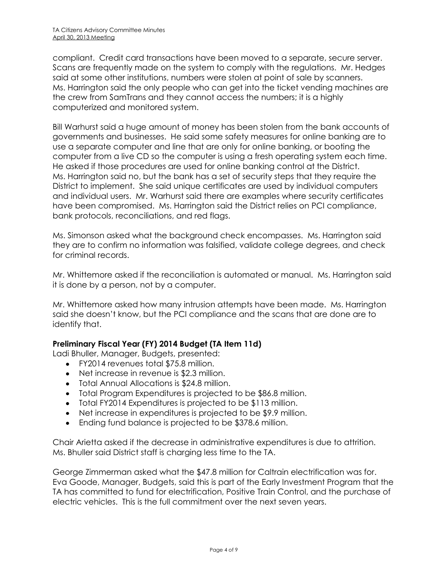compliant. Credit card transactions have been moved to a separate, secure server. Scans are frequently made on the system to comply with the regulations. Mr. Hedges said at some other institutions, numbers were stolen at point of sale by scanners. Ms. Harrington said the only people who can get into the ticket vending machines are the crew from SamTrans and they cannot access the numbers; it is a highly computerized and monitored system.

Bill Warhurst said a huge amount of money has been stolen from the bank accounts of governments and businesses. He said some safety measures for online banking are to use a separate computer and line that are only for online banking, or booting the computer from a live CD so the computer is using a fresh operating system each time. He asked if those procedures are used for online banking control at the District. Ms. Harrington said no, but the bank has a set of security steps that they require the District to implement. She said unique certificates are used by individual computers and individual users. Mr. Warhurst said there are examples where security certificates have been compromised. Ms. Harrington said the District relies on PCI compliance, bank protocols, reconciliations, and red flags.

Ms. Simonson asked what the background check encompasses. Ms. Harrington said they are to confirm no information was falsified, validate college degrees, and check for criminal records.

Mr. Whittemore asked if the reconciliation is automated or manual. Ms. Harrington said it is done by a person, not by a computer.

Mr. Whittemore asked how many intrusion attempts have been made. Ms. Harrington said she doesn't know, but the PCI compliance and the scans that are done are to identify that.

### **Preliminary Fiscal Year (FY) 2014 Budget (TA Item 11d)**

Ladi Bhuller, Manager, Budgets, presented:

- FY2014 revenues total \$75.8 million.
- Net increase in revenue is \$2.3 million.
- Total Annual Allocations is \$24.8 million.
- Total Program Expenditures is projected to be \$86.8 million.
- Total FY2014 Expenditures is projected to be \$113 million.
- Net increase in expenditures is projected to be \$9.9 million.
- Ending fund balance is projected to be \$378.6 million.

Chair Arietta asked if the decrease in administrative expenditures is due to attrition. Ms. Bhuller said District staff is charging less time to the TA.

George Zimmerman asked what the \$47.8 million for Caltrain electrification was for. Eva Goode, Manager, Budgets, said this is part of the Early Investment Program that the TA has committed to fund for electrification, Positive Train Control, and the purchase of electric vehicles. This is the full commitment over the next seven years.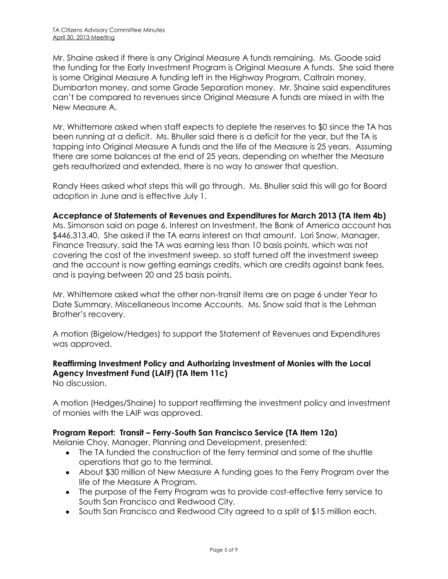Mr. Shaine asked if there is any Original Measure A funds remaining. Ms. Goode said the funding for the Early Investment Program is Original Measure A funds. She said there is some Original Measure A funding left in the Highway Program, Caltrain money, Dumbarton money, and some Grade Separation money. Mr. Shaine said expenditures can't be compared to revenues since Original Measure A funds are mixed in with the New Measure A.

Mr. Whittemore asked when staff expects to deplete the reserves to \$0 since the TA has been running at a deficit. Ms. Bhuller said there is a deficit for the year, but the TA is tapping into Original Measure A funds and the life of the Measure is 25 years. Assuming there are some balances at the end of 25 years, depending on whether the Measure gets reauthorized and extended, there is no way to answer that question.

Randy Hees asked what steps this will go through. Ms. Bhuller said this will go for Board adoption in June and is effective July 1.

#### **Acceptance of Statements of Revenues and Expenditures for March 2013 (TA Item 4b)**

Ms. Simonson said on page 6, Interest on Investment, the Bank of America account has \$446,313.40. She asked if the TA earns interest on that amount. Lori Snow, Manager, Finance Treasury, said the TA was earning less than 10 basis points, which was not covering the cost of the investment sweep, so staff turned off the investment sweep and the account is now getting earnings credits, which are credits against bank fees, and is paying between 20 and 25 basis points.

Mr. Whittemore asked what the other non-transit items are on page 6 under Year to Date Summary, Miscellaneous Income Accounts. Ms. Snow said that is the Lehman Brother's recovery.

A motion (Bigelow/Hedges) to support the Statement of Revenues and Expenditures was approved.

#### **Reaffirming Investment Policy and Authorizing Investment of Monies with the Local Agency Investment Fund (LAIF) (TA Item 11c)** No discussion.

A motion (Hedges/Shaine) to support reaffirming the investment policy and investment of monies with the LAIF was approved.

#### **Program Report: Transit – Ferry-South San Francisco Service (TA Item 12a)**

Melanie Choy, Manager, Planning and Development, presented:

- The TA funded the construction of the ferry terminal and some of the shuttle operations that go to the terminal.
- About \$30 million of New Measure A funding goes to the Ferry Program over the life of the Measure A Program.
- The purpose of the Ferry Program was to provide cost-effective ferry service to South San Francisco and Redwood City.
- South San Francisco and Redwood City agreed to a split of \$15 million each.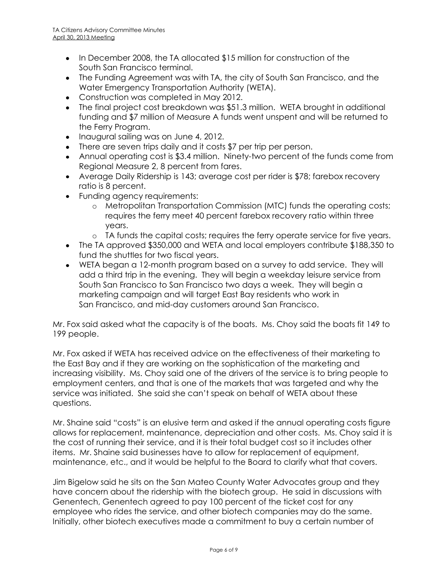- In December 2008, the TA allocated \$15 million for construction of the South San Francisco terminal.
- The Funding Agreement was with TA, the city of South San Francisco, and the Water Emergency Transportation Authority (WETA).
- Construction was completed in May 2012.
- The final project cost breakdown was \$51.3 million. WETA brought in additional funding and \$7 million of Measure A funds went unspent and will be returned to the Ferry Program.
- Inaugural sailing was on June 4, 2012.
- There are seven trips daily and it costs \$7 per trip per person.
- Annual operating cost is \$3.4 million. Ninety-two percent of the funds come from Regional Measure 2, 8 percent from fares.
- Average Daily Ridership is 143; average cost per rider is \$78; farebox recovery ratio is 8 percent.
- Funding agency requirements:
	- o Metropolitan Transportation Commission (MTC) funds the operating costs; requires the ferry meet 40 percent farebox recovery ratio within three years.
	- o TA funds the capital costs; requires the ferry operate service for five years.
- The TA approved \$350,000 and WETA and local employers contribute \$188,350 to fund the shuttles for two fiscal years.
- WETA began a 12-month program based on a survey to add service. They will add a third trip in the evening. They will begin a weekday leisure service from South San Francisco to San Francisco two days a week. They will begin a marketing campaign and will target East Bay residents who work in San Francisco, and mid-day customers around San Francisco.

Mr. Fox said asked what the capacity is of the boats. Ms. Choy said the boats fit 149 to 199 people.

Mr. Fox asked if WETA has received advice on the effectiveness of their marketing to the East Bay and if they are working on the sophistication of the marketing and increasing visibility. Ms. Choy said one of the drivers of the service is to bring people to employment centers, and that is one of the markets that was targeted and why the service was initiated. She said she can't speak on behalf of WETA about these questions.

Mr. Shaine said "costs" is an elusive term and asked if the annual operating costs figure allows for replacement, maintenance, depreciation and other costs. Ms. Choy said it is the cost of running their service, and it is their total budget cost so it includes other items. Mr. Shaine said businesses have to allow for replacement of equipment, maintenance, etc., and it would be helpful to the Board to clarify what that covers.

Jim Bigelow said he sits on the San Mateo County Water Advocates group and they have concern about the ridership with the biotech group. He said in discussions with Genentech, Genentech agreed to pay 100 percent of the ticket cost for any employee who rides the service, and other biotech companies may do the same. Initially, other biotech executives made a commitment to buy a certain number of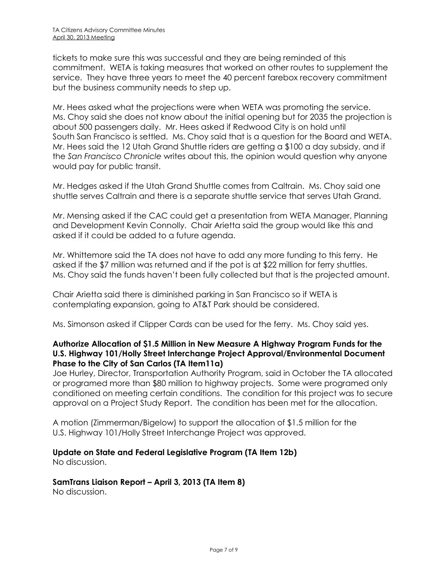tickets to make sure this was successful and they are being reminded of this commitment. WETA is taking measures that worked on other routes to supplement the service. They have three years to meet the 40 percent farebox recovery commitment but the business community needs to step up.

Mr. Hees asked what the projections were when WETA was promoting the service. Ms. Choy said she does not know about the initial opening but for 2035 the projection is about 500 passengers daily. Mr. Hees asked if Redwood City is on hold until South San Francisco is settled. Ms. Choy said that is a question for the Board and WETA. Mr. Hees said the 12 Utah Grand Shuttle riders are getting a \$100 a day subsidy, and if the *San Francisco Chronicle* writes about this, the opinion would question why anyone would pay for public transit.

Mr. Hedges asked if the Utah Grand Shuttle comes from Caltrain. Ms. Choy said one shuttle serves Caltrain and there is a separate shuttle service that serves Utah Grand.

Mr. Mensing asked if the CAC could get a presentation from WETA Manager, Planning and Development Kevin Connolly. Chair Arietta said the group would like this and asked if it could be added to a future agenda.

Mr. Whittemore said the TA does not have to add any more funding to this ferry. He asked if the \$7 million was returned and if the pot is at \$22 million for ferry shuttles. Ms. Choy said the funds haven't been fully collected but that is the projected amount.

Chair Arietta said there is diminished parking in San Francisco so if WETA is contemplating expansion, going to AT&T Park should be considered.

Ms. Simonson asked if Clipper Cards can be used for the ferry. Ms. Choy said yes.

#### **Authorize Allocation of \$1.5 Million in New Measure A Highway Program Funds for the U.S. Highway 101/Holly Street Interchange Project Approval/Environmental Document Phase to the City of San Carlos (TA Item11a)**

Joe Hurley, Director, Transportation Authority Program, said in October the TA allocated or programed more than \$80 million to highway projects. Some were programed only conditioned on meeting certain conditions. The condition for this project was to secure approval on a Project Study Report. The condition has been met for the allocation.

A motion (Zimmerman/Bigelow) to support the allocation of \$1.5 million for the U.S. Highway 101/Holly Street Interchange Project was approved.

#### **Update on State and Federal Legislative Program (TA Item 12b)**

No discussion.

#### **SamTrans Liaison Report – April 3, 2013 (TA Item 8)**

No discussion.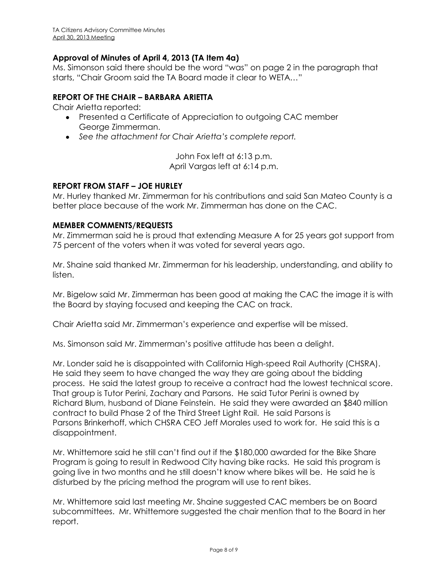#### **Approval of Minutes of April 4, 2013 (TA Item 4a)**

Ms. Simonson said there should be the word "was" on page 2 in the paragraph that starts, "Chair Groom said the TA Board made it clear to WETA…"

#### **REPORT OF THE CHAIR – BARBARA ARIETTA**

Chair Arietta reported:

- Presented a Certificate of Appreciation to outgoing CAC member George Zimmerman.
- *See the attachment for Chair Arietta's complete report.*

John Fox left at 6:13 p.m. April Vargas left at 6:14 p.m.

#### **REPORT FROM STAFF – JOE HURLEY**

Mr. Hurley thanked Mr. Zimmerman for his contributions and said San Mateo County is a better place because of the work Mr. Zimmerman has done on the CAC.

#### **MEMBER COMMENTS/REQUESTS**

Mr. Zimmerman said he is proud that extending Measure A for 25 years got support from 75 percent of the voters when it was voted for several years ago.

Mr. Shaine said thanked Mr. Zimmerman for his leadership, understanding, and ability to listen.

Mr. Bigelow said Mr. Zimmerman has been good at making the CAC the image it is with the Board by staying focused and keeping the CAC on track.

Chair Arietta said Mr. Zimmerman's experience and expertise will be missed.

Ms. Simonson said Mr. Zimmerman's positive attitude has been a delight.

Mr. Londer said he is disappointed with California High-speed Rail Authority (CHSRA). He said they seem to have changed the way they are going about the bidding process. He said the latest group to receive a contract had the lowest technical score. That group is Tutor Perini, Zachary and Parsons. He said Tutor Perini is owned by Richard Blum, husband of Diane Feinstein. He said they were awarded an \$840 million contract to build Phase 2 of the Third Street Light Rail. He said Parsons is Parsons Brinkerhoff, which CHSRA CEO Jeff Morales used to work for. He said this is a disappointment.

Mr. Whittemore said he still can't find out if the \$180,000 awarded for the Bike Share Program is going to result in Redwood City having bike racks. He said this program is going live in two months and he still doesn't know where bikes will be. He said he is disturbed by the pricing method the program will use to rent bikes.

Mr. Whittemore said last meeting Mr. Shaine suggested CAC members be on Board subcommittees. Mr. Whittemore suggested the chair mention that to the Board in her report.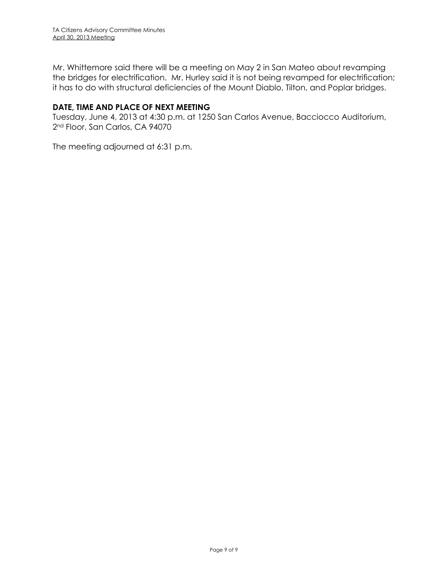Mr. Whittemore said there will be a meeting on May 2 in San Mateo about revamping the bridges for electrification. Mr. Hurley said it is not being revamped for electrification; it has to do with structural deficiencies of the Mount Diablo, Tilton, and Poplar bridges.

#### **DATE, TIME AND PLACE OF NEXT MEETING**

Tuesday, June 4, 2013 at 4:30 p.m. at 1250 San Carlos Avenue, Bacciocco Auditorium, 2<sup>nd</sup> Floor, San Carlos, CA 94070

The meeting adjourned at 6:31 p.m.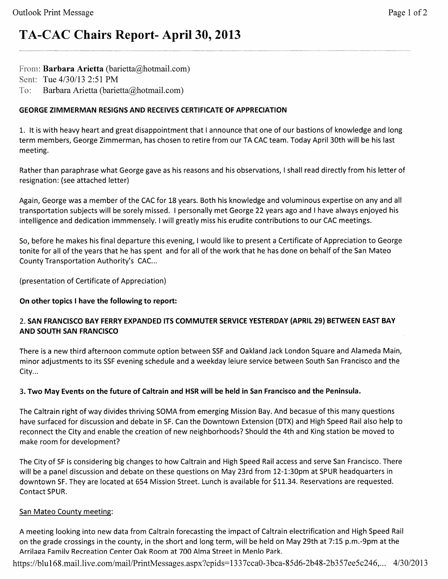# TA-CAC Chairs Report- April 30, 2013

From: Barbara Arietta (barietta@hotmail.com)

Sent: Tue 4/30/13 2:51 PM

 $To:$ Barbara Arietta (barietta@hotmail.com)

## **GEORGE ZIMMERMAN RESIGNS AND RECEIVES CERTIFICATE OF APPRECIATION**

1. It is with heavy heart and great disappointment that I announce that one of our bastions of knowledge and long term members, George Zimmerman, has chosen to retire from our TA CAC team. Today April 30th will be his last meeting.

Rather than paraphrase what George gave as his reasons and his observations, I shall read directly from his letter of resignation: (see attached letter)

Again, George was a member of the CAC for 18 years. Both his knowledge and voluminous expertise on any and all transportation subjects will be sorely missed. I personally met George 22 years ago and I have always enjoyed his intelligence and dedication immmensely. I will greatly miss his erudite contributions to our CAC meetings.

So, before he makes his final departure this evening, I would like to present a Certificate of Appreciation to George tonite for all of the years that he has spent and for all of the work that he has done on behalf of the San Mateo County Transportation Authority's CAC...

(presentation of Certificate of Appreciation)

## On other topics I have the following to report:

## 2. SAN FRANCISCO BAY FERRY EXPANDED ITS COMMUTER SERVICE YESTERDAY (APRIL 29) BETWEEN EAST BAY **AND SOUTH SAN FRANCISCO**

There is a new third afternoon commute option between SSF and Oakland Jack London Square and Alameda Main, minor adjustments to its SSF evening schedule and a weekday leiure service between South San Francisco and the City...

## 3. Two May Events on the future of Caltrain and HSR will be held in San Francisco and the Peninsula.

The Caltrain right of way divides thriving SOMA from emerging Mission Bay. And becasue of this many questions have surfaced for discussion and debate in SF. Can the Downtown Extension (DTX) and High Speed Rail also help to reconnect the City and enable the creation of new neighborhoods? Should the 4th and King station be moved to make room for development?

The City of SF is considering big changes to how Caltrain and High Speed Rail access and serve San Francisco. There will be a panel discussion and debate on these questions on May 23rd from 12-1:30pm at SPUR headquarters in downtown SF. They are located at 654 Mission Street. Lunch is available for \$11.34. Reservations are requested. Contact SPUR.

## San Mateo County meeting:

A meeting looking into new data from Caltrain forecasting the impact of Caltrain electrification and High Speed Rail on the grade crossings in the county, in the short and long term, will be held on May 29th at 7:15 p.m.-9pm at the Arrilaga Family Recreation Center Oak Room at 700 Alma Street in Menlo Park.

https://blu168.mail.live.com/mail/PrintMessages.aspx?cpids=1337cca0-3bca-85d6-2b48-2b357ee5c246,... 4/30/2013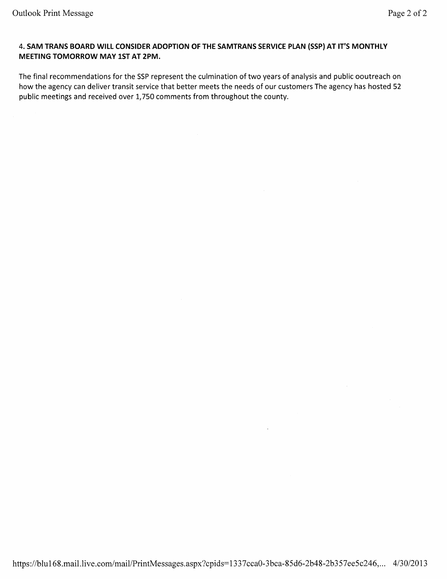#### 4. SAM TRANS BOARD WILL CONSIDER ADOPTION OF THE SAMTRANS SERVICE PLAN (SSP) AT IT'S MONTHLY MEETING TOMORROW MAY 1ST AT 2PM.

The final recommendations for the SSP represent the culmination of two years of analysis and public ooutreach on how the agency can deliver transit service that better meets the needs of our customers The agency has hosted 52 public meetings and received over 1,750 comments from throughout the county.